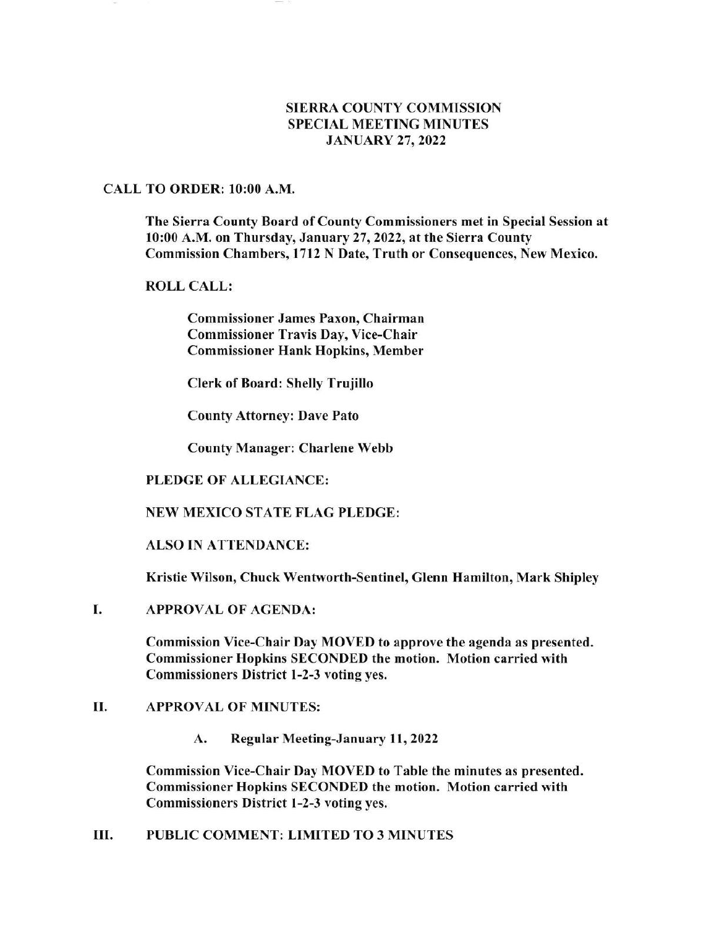# SIERRA COUNTY COMMISSION SPECIAL MEETING MINUTES JANUARY 27,2022

### CALL TO ORDER: l0:00 A.M.

The Sierra County Board of County Commissioners met in Special Session at 10:00 A.M. on Thursday, January 27, 2022, at the Sierra County Commission Chambers, 1712 N Date, Truth or Consequences, New Mexico.

# ROLL CALL:

Commissioner James Paxon, Chairman Commissioner Travis Day, Vice-Chair Commissioner Hank Hopkins, Member

Clerk of Board: Shelly Truiillo

County Attorney: Dave Pato

County Manager: Charlene Webb

### PLEDGE OF ALLEGIANCE:

### NEW MEXICO STATE FLAG PLEDGE:

ALSO IN ATTENDANCE:

Kristie Wilson, Chuck Wentworth-Sentinel, Glenn Hamilton, Mark Shipley

APPROVAL OF AGENDA: I

> Commission Vice-Chair Day MOVED to approve the agenda as presented. Commissioner Hopkins SECONDED the motion. Motion carried with Commissioners District l-2-3 voting yes.

### II. APPROVAL OF MINUTES:

A. Regular Meeting-January 11,2022

Commission Vice-Chair Day MOVED to Table the minutes as presented. Commissioner Hopkins SECONDED the motion. Motion carried with Commissioners District 1-2-3 voting yes.

III. PUBLIC COMMENT: LIMITED TO 3 MINUTES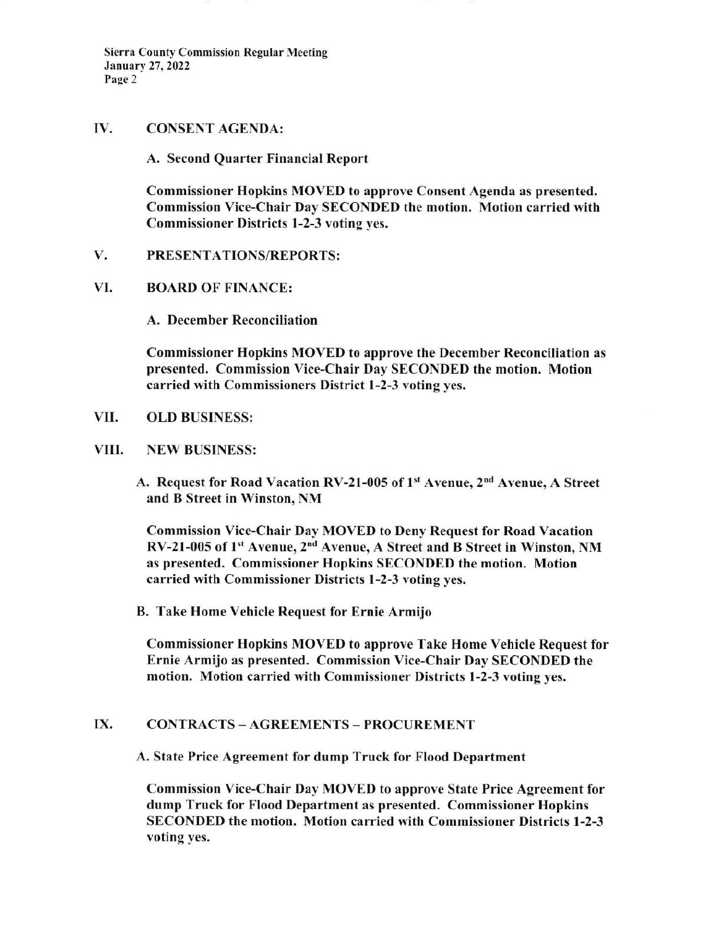Sierra County Commission Regular Meeting January 27, 2022 Page 2

## IV. CONSENT AGENDA:

A. Second Quarter Financial Report

Commissioner Hopkins MOVED to approve Consent Agenda as presented. Commission Vice-Chair Day SECONDED the motion. Motion carried with Commissioner Districts l-2-3 voting yes.

### V. PRESENTATIONS/REPORTS:

### VI. BOARD OF FINANCE:

A. December Reconciliation

Commissioner Hopkins MOVED to approve the December Reconciliation as presented. Commission Vice-Chair Day SECONDED the motion. Motion carried with Commissioners District 1-2-3 voting yes,

- VII. OLD BUSINESS:
- VIII. NEW BUSINESS:
	- A. Request for Road Vacation RV-21-005 of 1st Avenue, 2<sup>nd</sup> Avenue, A Street and B Street in Winston, NM

Commission Vice-Chair Day MOVED to Deny Request for Road Vacation RV-21-005 of l't Avenue, 2'd Avenue, A Street and B Street in Winston, NM as presented. Commissioner Hopkins SECONDED the motion. Motion carried with Commissioner Districts 1-2-3 voting yes.

B. Take Home Vehicle Request for Ernie Armijo

Commissioner Hopkins MOVED to approve Take Home Vehicle Request for Ernie Armijo as presented. Commission Vice-Chair Day SECONDED the motion, Motion carried with Commissioner Districts l-2-3 voting yes.

# IX. CONTRACTS - AGREEMENTS - PROCUREMENT

A, State Price Agreement for dump Truck for Flood Department

Commission Vice-Chair Day MOVED to approye State Price Agreement for dump Truck for Flood Department as presented. Commissioner Hopkins SECONDED the motion. Motion carried with Commissioner Districts 1-2-3 voting yes.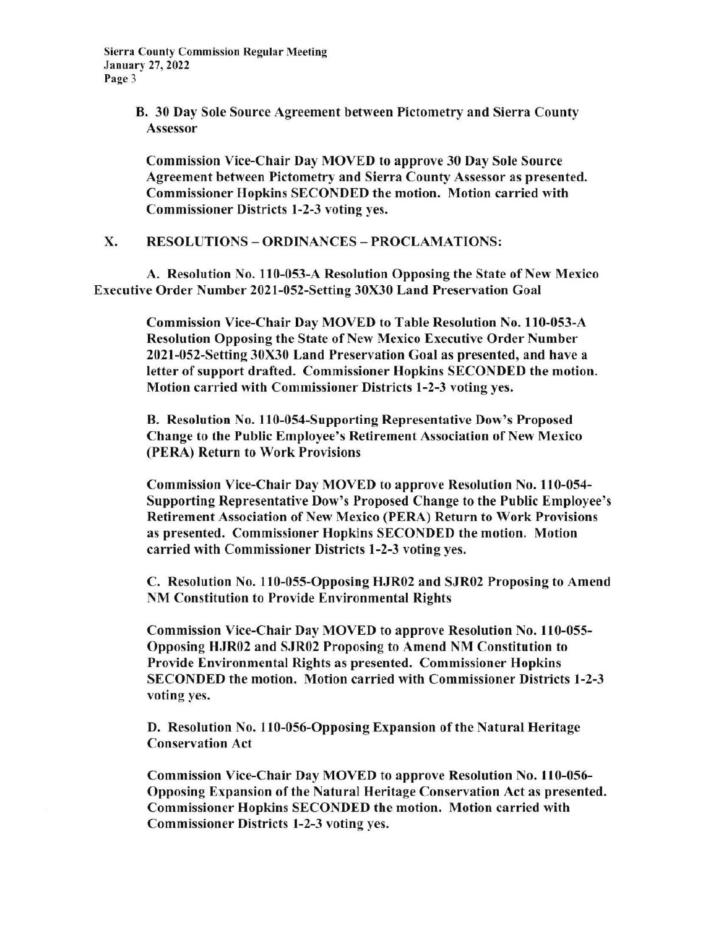B. 30 Day Sole Source Agreement between Pictometry and Sierra County Assessor

Commission Vice-Chair Day MOVED to approve 30 Day Sole Source Agreement between Pictometry and Sierra County Assessor as presented, Commissioner Hopkins SECONDED the motion. Motion carried with Commissioner Districts 1-2-3 voting yes.

X. RESOLUTIONS - ORDINANCES - PROCLAMATIONS:

A. Resolution No. 110-053-A Resolution Opposing the State of New Mexico Executive Order Number 2021-0S2-Setting 30X30 Land Preservation Goal

> Commission Vice-Chair Day MOVED to Table Resolution No. 110-053-A Resolution Opposing the State of New Mexico Executive Order Number 2021-052-Setting 30X30 Land Preservation Goal as presented, and have a Ietter of support drafted. Commissioner Hopkins SECONDED the motion. Motion carried with Commissioner Districts 1-2-3 voting yes.

B. Resolution No. 110-054-Supporting Representative Dow's Proposed Change to the Public Employee's Retirement Association of New Mexico (PERA) Return to Work Provisions

Commission Vice-Chair Day MOVED to approve Resolution No. 110-054- Supporting Representative Dow's Proposed Change to the Public Employee's Retirement Association of New Mexico (PERA) Return to Work Provisions as presented. Commissioner Hopkins SECONDED the motion, Motion carried with Commissioner Districts 1-2-3 voting yes.

C. Resolution No. 110-055-Opposing HJR02 and SJR02 Proposing to Amend NM Constitution to Provide Environmental Rights

Commission Vice-Chair Day MOVED to approve Resolution No. 110-055-Opposing HJR02 and SJR02 Proposing to Amend NM Constitution to Provide Environmental Rights as presented. Commissioner Hopkins SECONDED the motion. Motion carried with Commissioner Districts l-2-3 voting yes.

D. Resolution No. 110-056-Opposing Expansion of the Natural Heritage Conservation Act

Commission Vice-Chair Day MOVED to approve Resolution No. 110-056- Opposing Expansion of the Natural Heritage Conservation Act as presented. Commissioner Hopkins SECONDED the motion. Motion carried with Commissioner Districts 1-2-3 voting yes,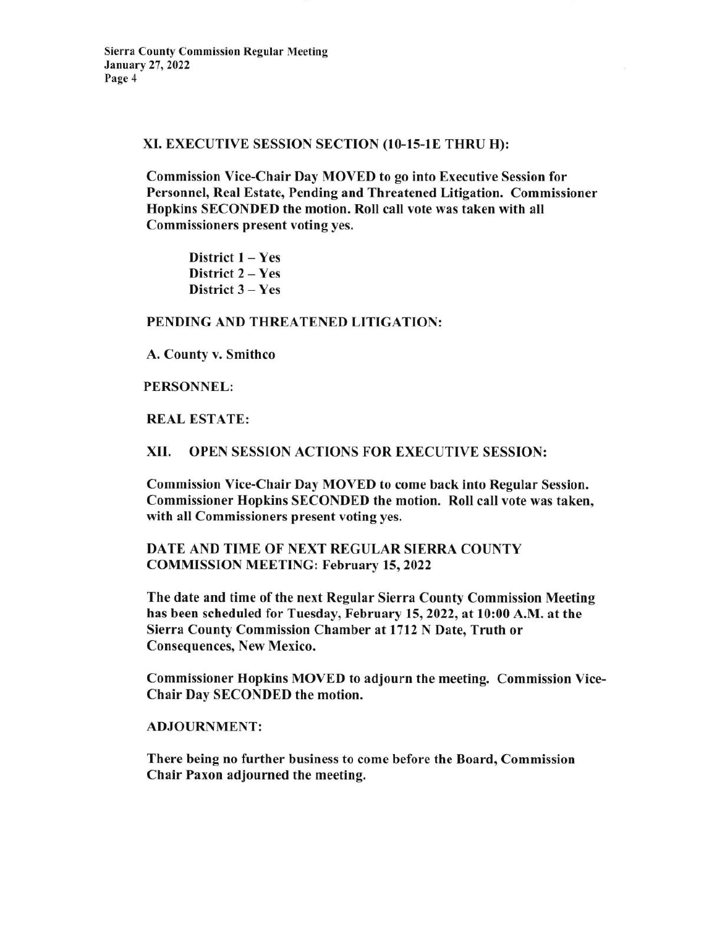#### XI. EXECUTIVE SESSION SECTION (10-15-1E THRU H):

Commission Vice-Chair Day MOYED to go into Executive Session for Personnel, Real Estate, Pending and Threatened Litigation. Commissioner Hopkins SECONDED the motion. Roll call vote was taken with all Commissioners present voting yes.

District  $1 - Yes$ District 2 – Yes District 3 - Yes

### PENDING AND THREATENED LITIGATION:

A. County v. Smithco

### PERSONNEL:

### REAL ESTATE:

### XII. OPEN SESSION ACTIONS FOR EXECUTIVE SESSION:

Commission Vice-Chair Day MOVED to come back into Regular Session. Commissioner Hopkins SECONDED the motion. Roll call vote was taken, with all Commissioners present voting yes.

# DATE AND TIME OF NEXT REGULAR SIERRA COUNTY COMMISSION MEETING: February 15, 2022

The date and time of the next Regular Sierra County Commission Meeting has been scheduled for Tuesday, February 15,2022, at 10:00 A.M. at the Sierra County Commission Chamber at 1712 N Date, Truth or Consequences, New Mexico.

Commissioner Hopkins MOVED to adjourn the meeting. Commission Vice-Chair Day SECONDED the motion.

#### ADJOURNMENT:

There being no further business to come before the Board, Commission Chair Paxon adjourned the meeting.